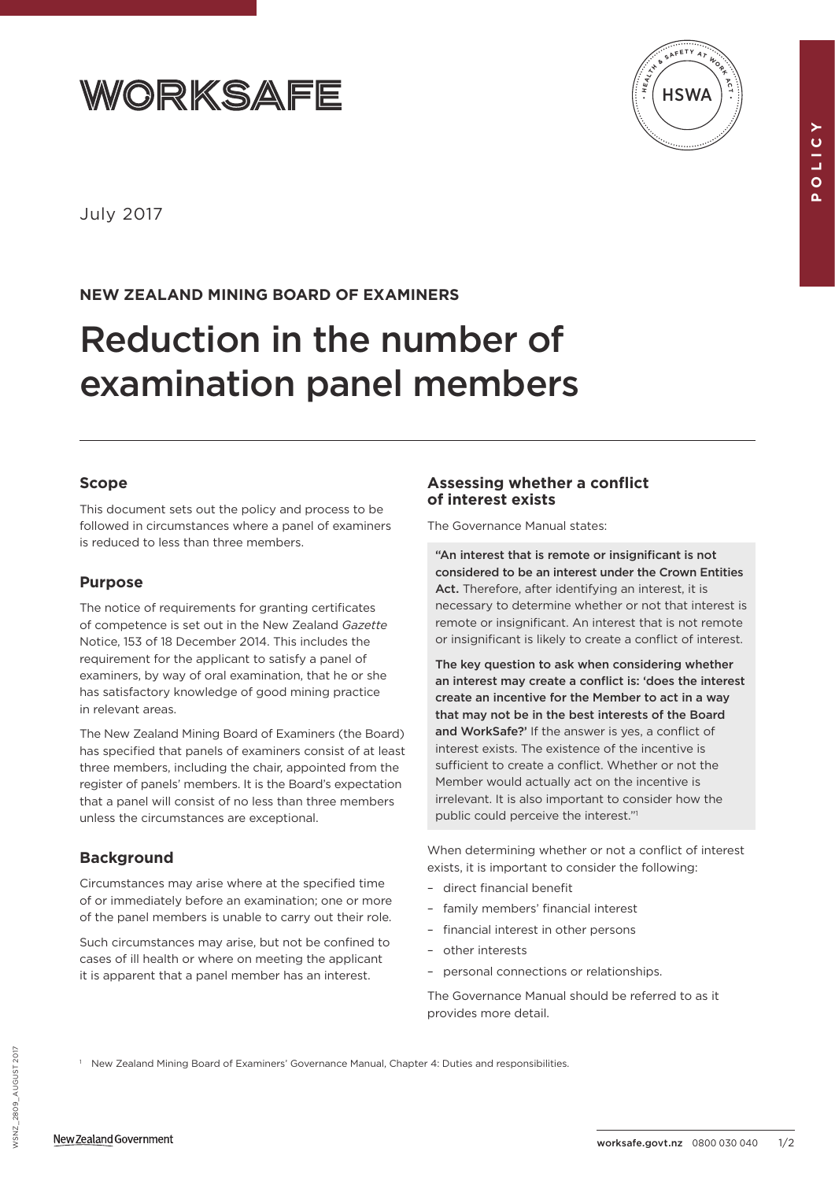



**POLICY**

 $\Delta$ 

**OLIO** 

July 2017

# **NEW ZEALAND MINING BOARD OF EXAMINERS**

# Reduction in the number of examination panel members

## **Scope**

This document sets out the policy and process to be followed in circumstances where a panel of examiners is reduced to less than three members.

## **Purpose**

The notice of requirements for granting certificates of competence is set out in the New Zealand *Gazette* Notice, 153 of 18 December 2014. This includes the requirement for the applicant to satisfy a panel of examiners, by way of oral examination, that he or she has satisfactory knowledge of good mining practice in relevant areas.

The New Zealand Mining Board of Examiners (the Board) has specified that panels of examiners consist of at least three members, including the chair, appointed from the register of panels' members. It is the Board's expectation that a panel will consist of no less than three members unless the circumstances are exceptional.

## **Background**

Circumstances may arise where at the specified time of or immediately before an examination; one or more of the panel members is unable to carry out their role.

Such circumstances may arise, but not be confined to cases of ill health or where on meeting the applicant it is apparent that a panel member has an interest.

<sup>1</sup> New Zealand Mining Board of Examiners' Governance Manual, Chapter 4: Duties and responsibilities.

## **Assessing whether a conflict of interest exists**

The Governance Manual states:

"An interest that is remote or insignificant is not considered to be an interest under the Crown Entities Act. Therefore, after identifying an interest, it is necessary to determine whether or not that interest is remote or insignificant. An interest that is not remote or insignificant is likely to create a conflict of interest.

The key question to ask when considering whether an interest may create a conflict is: 'does the interest create an incentive for the Member to act in a way that may not be in the best interests of the Board and WorkSafe?' If the answer is yes, a conflict of interest exists. The existence of the incentive is sufficient to create a conflict. Whether or not the Member would actually act on the incentive is irrelevant. It is also important to consider how the public could perceive the interest."1

When determining whether or not a conflict of interest exists, it is important to consider the following:

- direct financial benefit
- family members' financial interest
- financial interest in other persons
- other interests
- personal connections or relationships.

The Governance Manual should be referred to as it provides more detail.

WSNZ\_2809\_August 2017 WSNZ 2809 AUGUST 2017